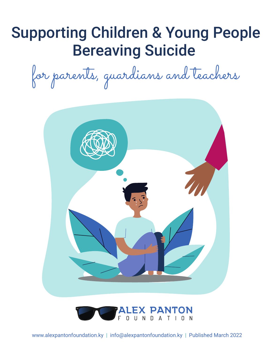## Supporting Children & Young People Bereaving Suicide

for parents, guardians and teachers



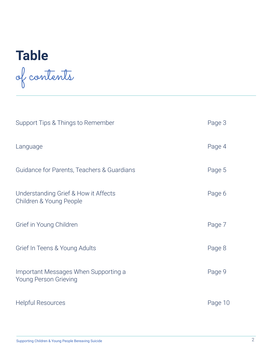# **Table** of contents

| Support Tips & Things to Remember                               | Page 3  |
|-----------------------------------------------------------------|---------|
| Language                                                        | Page 4  |
| Guidance for Parents, Teachers & Guardians                      | Page 5  |
| Understanding Grief & How it Affects<br>Children & Young People | Page 6  |
| Grief in Young Children                                         | Page 7  |
| Grief In Teens & Young Adults                                   | Page 8  |
| Important Messages When Supporting a<br>Young Person Grieving   | Page 9  |
| <b>Helpful Resources</b>                                        | Page 10 |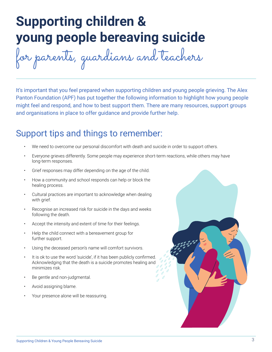## **Supporting children & young people bereaving suicide**

for parents, guardians and teachers

It's important that you feel prepared when supporting children and young people grieving. The Alex Panton Foundation (APF) has put together the following information to highlight how young people might feel and respond, and how to best support them. There are many resources, support groups and organisations in place to offer guidance and provide further help.

### Support tips and things to remember:

- We need to overcome our personal discomfort with death and suicide in order to support others.
- Everyone grieves differently. Some people may experience short-term reactions, while others may have long-term responses.
- Grief responses may differ depending on the age of the child.
- How a community and school responds can help or block the healing process.
- Cultural practices are important to acknowledge when dealing with grief.
- Recognise an increased risk for suicide in the days and weeks following the death.
- Accept the intensity and extent of time for their feelings.
- Help the child connect with a bereavement group for further support.
- Using the deceased person's name will comfort survivors.
- It is ok to use the word 'suicide', if it has been publicly confirmed. Acknowledging that the death is a suicide promotes healing and minimizes risk.
- Be gentle and non-judgmental.
- Avoid assigning blame.
- Your presence alone will be reassuring.

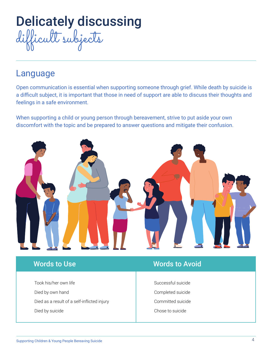

### Language

Open communication is essential when supporting someone through grief. While death by suicide is a difficult subject, it is important that those in need of support are able to discuss their thoughts and feelings in a safe environment.

When supporting a child or young person through bereavement, strive to put aside your own discomfort with the topic and be prepared to answer questions and mitigate their confusion.



Took his/her own life Died by own hand Died as a result of a self-inflicted injury Died by suicide

### **Words to Use Words to Avoid**

Successful suicide Completed suicide Committed suicide Chose to suicide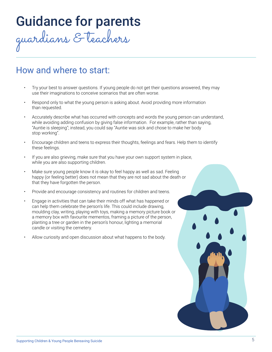## Guidance for parents

guardians & teachers

### How and where to start:

- Try your best to answer questions. If young people do not get their questions answered, they may use their imaginations to conceive scenarios that are often worse.
- Respond only to what the young person is asking about. Avoid providing more information than requested.
- Accurately describe what has occurred with concepts and words the young person can understand, while avoiding adding confusion by giving false information. For example, rather than saying, "Auntie is sleeping"; instead, you could say "Auntie was sick and chose to make her body stop working".
- Encourage children and teens to express their thoughts, feelings and fears. Help them to identify these feelings.
- If you are also grieving, make sure that you have your own support system in place, while you are also supporting children.
- Make sure young people know it is okay to feel happy as well as sad. Feeling happy (or feeling better) does not mean that they are not sad about the death or that they have forgotten the person.
- Provide and encourage consistency and routines for children and teens.
- Engage in activities that can take their minds off what has happened or can help them celebrate the person's life. This could include drawing, moulding clay, writing, playing with toys, making a memory picture book or a memory box with favourite mementos, framing a picture of the person, planting a tree or garden in the person's honour, lighting a memorial candle or visiting the cemetery.
- Allow curiosity and open discussion about what happens to the body.

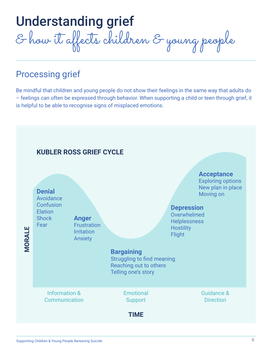Understanding grief & how it affects children & young people

### Processing grief

Be mindful that children and young people do not show their feelings in the same way that adults do – feelings can often be expressed through behavior. When supporting a child or teen through grief, it is helpful to be able to recognise signs of misplaced emotions.

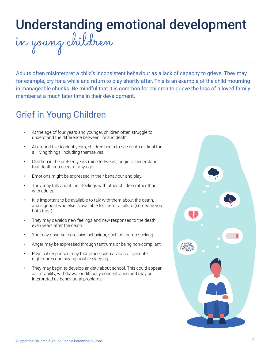## Understanding emotional development

in young children

Adults often misinterpret a child's inconsistent behaviour as a lack of capacity to grieve. They may, for example, cry for a while and return to play shortly after. This is an example of the child mourning in manageable chunks. Be mindful that it is common for children to grieve the loss of a loved family member at a much later time in their development.

## Grief in Young Children

- At the age of four years and younger, children often struggle to understand the difference between life and death.
- At around five to eight years, children begin to see death as final for all living things, including themselves.
- Children in the preteen years (nine to twelve) begin to understand that death can occur at any age.
- Emotions might be expressed in their behaviour and play.
- They may talk about their feelings with other children rather than with adults.
- It is important to be available to talk with them about the death, and signpost who else is available for them to talk to (someone you both trust).
- They may develop new feelings and new responses to the death, even years after the death.
- You may observe regressive behaviour, such as thumb sucking.
- Anger may be expressed through tantrums or being non-compliant.
- Physical responses may take place, such as loss of appetite, nightmares and having trouble sleeping.
- They may begin to develop anxiety about school. This could appear as irritability, withdrawal or difficulty concentrating and may be interpreted as behavioural problems.

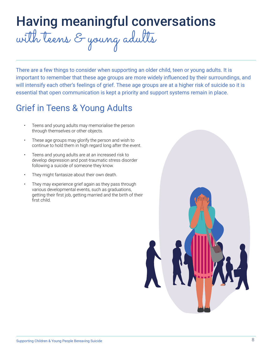## Having meaningful conversations with teens & young adults

There are a few things to consider when supporting an older child, teen or young adults. It is important to remember that these age groups are more widely influenced by their surroundings, and will intensify each other's feelings of grief. These age groups are at a higher risk of suicide so it is essential that open communication is kept a priority and support systems remain in place.

### Grief in Teens & Young Adults

- Teens and young adults may memorialise the person through themselves or other objects.
- These age groups may glorify the person and wish to continue to hold them in high regard long after the event.
- Teens and young adults are at an increased risk to develop depression and post-traumatic stress disorder following a suicide of someone they know.
- They might fantasize about their own death.
- They may experience grief again as they pass through various developmental events, such as graduations, getting their first job, getting married and the birth of their first child.

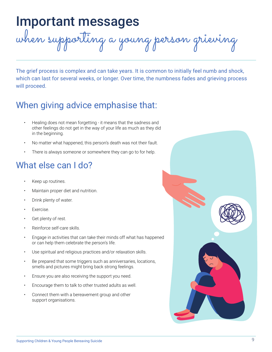## Important messages

when supporting a young person grieving

The grief process is complex and can take years. It is common to initially feel numb and shock, which can last for several weeks, or longer. Over time, the numbness fades and grieving process will proceed.

### When giving advice emphasise that:

- Healing does not mean forgetting it means that the sadness and other feelings do not get in the way of your life as much as they did in the beginning.
- No matter what happened, this person's death was not their fault.
- There is always someone or somewhere they can go to for help.

### What else can I do?

- Keep up routines.
- Maintain proper diet and nutrition.
- Drink plenty of water.
- Exercise.
- Get plenty of rest.
- Reinforce self-care skills.
- Engage in activities that can take their minds off what has happened or can help them celebrate the person's life.
- Use spiritual and religious practices and/or relaxation skills.
- Be prepared that some triggers such as anniversaries, locations, smells and pictures might bring back strong feelings.
- Ensure you are also receiving the support you need.
- Encourage them to talk to other trusted adults as well.
- Connect them with a bereavement group and other support organisations.

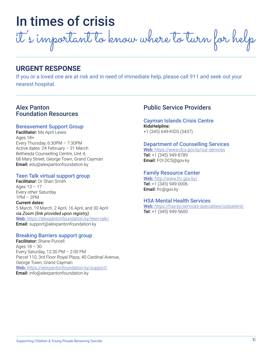## In times of crisis

it 's important to know where to turn for help

#### **URGENT RESPONSE**

If you or a loved one are at risk and in need of immediate help, please call 911 and seek out your nearest hospital.

#### Alex Panton Foundation Resources

#### Bereavement Support Group

Facilitator: Ms April Lewis Ages 18+ Every Thursday, 6:30PM – 7:30PM Active dates: 24 February – 31 March Bethesda Counselling Centre, Unit 4, 68 Mary Street, George Town, Grand Cayman **Email:** edu@alexpantonfoundation.ky

#### Teen Talk virtual support group

Facilitator: Dr Shari Smith Ages 13 – 17 Every other Saturday 1PM – 2PM Current dates: 5 March, 19 March, 2 April, 16 April, and 30 April *via Zoom (link provided upon registry)* Web: https://alexpantonfoundation.ky/teen-talk/ **Email:** support@alexpantonfoundation.ky

#### Breaking Barriers support group

Facilitator: Shane Purcell Ages  $18 - 30$ Every Saturday, 12:30 PM – 2:00 PM Parcel 110, 3rd Floor Royal Plaza, 40 Cardinal Avenue, George Town, Grand Cayman Web: https://alexpantonfoundation.ky/support/ **Email:** info@alexpantonfoundation.ky

#### Public Service Providers

#### Cayman Islands Crisis Centre KidsHelpline:

+1 (345) 649-KIDS (5437)

#### Department of Counselling Services

Web: https://www.dcs.gov.ky/our-services Tel: +1 (345) 949-8789 Email: FOI.DCS@gov.ky

#### Family Resource Center

Web: http://www.frc.gov.ky/ Tel: +1 (345) 949-0006 Email: frc@gov.ky

#### HSA Mental Health Services

Web: https://hsa.ky/services-specialties/outpatient/ Tel: +1 (345) 949-5600